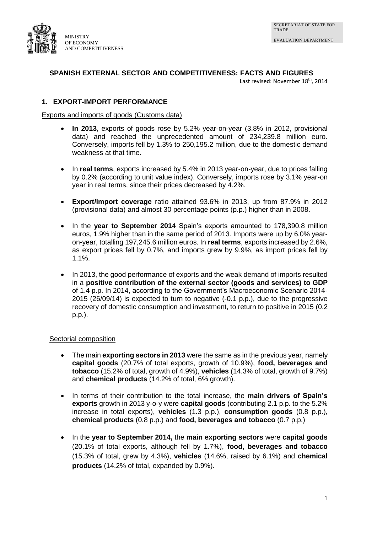

# **SPANISH EXTERNAL SECTOR AND COMPETITIVENESS: FACTS AND FIGURES**

Last revised: November 18<sup>th</sup>, 2014

# **1. EXPORT-IMPORT PERFORMANCE**

#### Exports and imports of goods (Customs data)

- **In 2013**, exports of goods rose by 5.2% year-on-year (3.8% in 2012, provisional data) and reached the unprecedented amount of 234,239.8 million euro. Conversely, imports fell by 1.3% to 250,195.2 million, due to the domestic demand weakness at that time.
- In **real terms**, exports increased by 5.4% in 2013 year-on-year, due to prices falling by 0.2% (according to unit value index). Conversely, imports rose by 3.1% year-on year in real terms, since their prices decreased by 4.2%.
- **Export/Import coverage** ratio attained 93.6% in 2013, up from 87.9% in 2012 (provisional data) and almost 30 percentage points (p.p.) higher than in 2008.
- In the **year to September 2014** Spain's exports amounted to 178,390.8 million euros, 1.9% higher than in the same period of 2013. Imports were up by 6.0% yearon-year, totalling 197,245.6 million euros. In **real terms**, exports increased by 2.6%, as export prices fell by 0.7%, and imports grew by 9.9%, as import prices fell by 1.1%.
- In 2013, the good performance of exports and the weak demand of imports resulted in a **positive contribution of the external sector (goods and services) to GDP** of 1.4 p.p. In 2014, according to the Government's Macroeconomic Scenario 2014- 2015 (26/09/14) is expected to turn to negative (-0.1 p.p.), due to the progressive recovery of domestic consumption and investment, to return to positive in 2015 (0.2 p.p.).

## Sectorial composition

- The main **exporting sectors in 2013** were the same as in the previous year, namely **capital goods** (20.7% of total exports, growth of 10.9%), **food, beverages and tobacco** (15.2% of total, growth of 4.9%), **vehicles** (14.3% of total, growth of 9.7%) and **chemical products** (14.2% of total, 6% growth).
- In terms of their contribution to the total increase, the **main drivers of Spain's exports** growth in 2013 y-o-y were **capital goods** (contributing 2.1 p.p. to the 5.2% increase in total exports), **vehicles** (1.3 p.p.), **consumption goods** (0.8 p.p.), **chemical products** (0.8 p.p.) and **food, beverages and tobacco** (0.7 p.p.)
- In the **year to September 2014,** the **main exporting sectors** were **capital goods** (20.1% of total exports, although fell by 1.7%), **food, beverages and tobacco**  (15.3% of total, grew by 4.3%), **vehicles** (14.6%, raised by 6.1%) and **chemical products** (14.2% of total, expanded by 0.9%).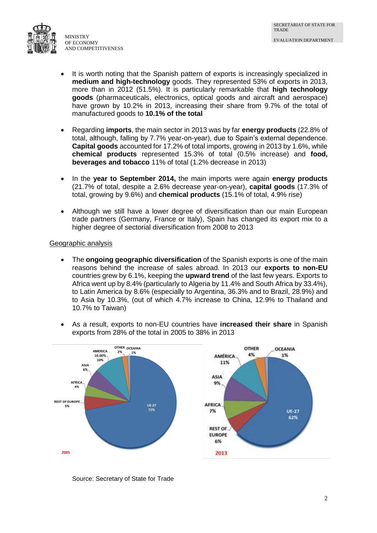

- It is worth noting that the Spanish pattern of exports is increasingly specialized in **medium and high-technology** goods. They represented 53% of exports in 2013, more than in 2012 (51.5%). It is particularly remarkable that **high technology goods** (pharmaceuticals, electronics, optical goods and aircraft and aerospace) have grown by 10.2% in 2013, increasing their share from 9.7% of the total of manufactured goods to **10.1% of the total**
- Regarding **imports**, the main sector in 2013 was by far **energy products** (22.8% of total, although, falling by 7.7% year-on-year), due to Spain's external dependence. **Capital goods** accounted for 17.2% of total imports, growing in 2013 by 1.6%, while **chemical products** represented 15.3% of total (0.5% increase) and **food, beverages and tobacco** 11% of total (1.2% decrease in 2013)
- In the **year to September 2014,** the main imports were again **energy products** (21.7% of total, despite a 2.6% decrease year-on-year), **capital goods** (17.3% of total, growing by 9.6%) and **chemical products** (15.1% of total, 4.9% rise)
- Although we still have a lower degree of diversification than our main European trade partners (Germany, France or Italy), Spain has changed its export mix to a higher degree of sectorial diversification from 2008 to 2013

## Geographic analysis

- The **ongoing geographic diversification** of the Spanish exports is one of the main reasons behind the increase of sales abroad. In 2013 our **exports to non-EU** countries grew by 6.1%, keeping the **upward trend** of the last few years. Exports to Africa went up by 8.4% (particularly to Algeria by 11.4% and South Africa by 33.4%), to Latin America by 8.6% (especially to Argentina, 36.3% and to Brazil, 28.9%) and to Asia by 10.3%, (out of which 4.7% increase to China, 12.9% to Thailand and 10.7% to Taiwan)
- As a result, exports to non-EU countries have **increased their share** in Spanish exports from 28% of the total in 2005 to 38% in 2013



Source: Secretary of State for Trade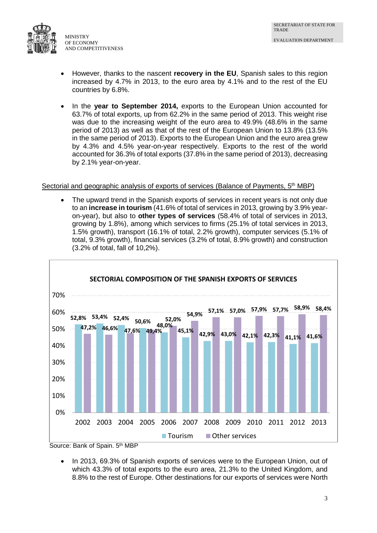

MINISTRY OF ECONOMY AND COMPETITIVENESS

- However, thanks to the nascent **recovery in the EU**, Spanish sales to this region increased by 4.7% in 2013, to the euro area by 4.1% and to the rest of the EU countries by 6.8%.
- In the **year to September 2014,** exports to the European Union accounted for 63.7% of total exports, up from 62.2% in the same period of 2013. This weight rise was due to the increasing weight of the euro area to 49.9% (48.6% in the same period of 2013) as well as that of the rest of the European Union to 13.8% (13.5% in the same period of 2013). Exports to the European Union and the euro area grew by 4.3% and 4.5% year-on-year respectively. Exports to the rest of the world accounted for 36.3% of total exports (37.8% in the same period of 2013), decreasing by 2.1% year-on-year.

## Sectorial and geographic analysis of exports of services (Balance of Payments, 5<sup>th</sup> MBP)

 The upward trend in the Spanish exports of services in recent years is not only due to an **increase in tourism** (41.6% of total of services in 2013, growing by 3.9% yearon-year), but also to **other types of services** (58.4% of total of services in 2013, growing by 1.8%), among which services to firms (25.1% of total services in 2013, 1.5% growth), transport (16.1% of total, 2.2% growth), computer services (5.1% of total, 9.3% growth), financial services (3.2% of total, 8.9% growth) and construction (3.2% of total, fall of 10,2%).



Source: Bank of Spain. 5th MBP

 In 2013, 69.3% of Spanish exports of services were to the European Union, out of which 43.3% of total exports to the euro area, 21.3% to the United Kingdom, and 8.8% to the rest of Europe. Other destinations for our exports of services were North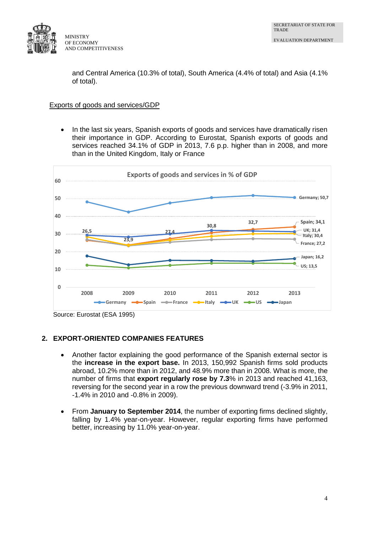

and Central America (10.3% of total), South America (4.4% of total) and Asia (4.1% of total).

#### Exports of goods and services/GDP

 In the last six years, Spanish exports of goods and services have dramatically risen their importance in GDP. According to Eurostat, Spanish exports of goods and services reached 34.1% of GDP in 2013, 7.6 p.p. higher than in 2008, and more than in the United Kingdom, Italy or France



Source: Eurostat (ESA 1995)

# **2. EXPORT-ORIENTED COMPANIES FEATURES**

- Another factor explaining the good performance of the Spanish external sector is the **increase in the export base.** In 2013, 150,992 Spanish firms sold products abroad, 10.2% more than in 2012, and 48.9% more than in 2008. What is more, the number of firms that **export regularly rose by 7.3**% in 2013 and reached 41,163, reversing for the second year in a row the previous downward trend (-3.9% in 2011, -1.4% in 2010 and -0.8% in 2009).
- From **January to September 2014**, the number of exporting firms declined slightly, falling by 1.4% year-on-year. However, regular exporting firms have performed better, increasing by 11.0% year-on-year.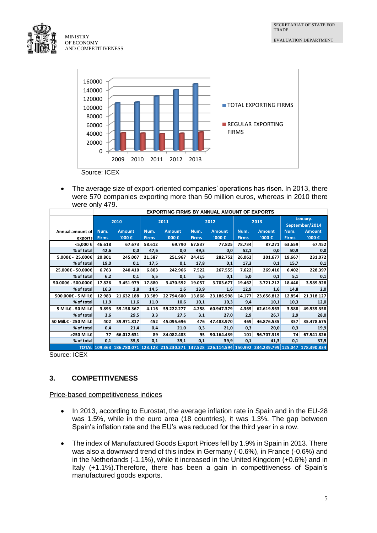

AND COMPETITIVENESS



 The average size of export-oriented companies' operations has risen. In 2013, there were 570 companies exporting more than 50 million euros, whereas in 2010 there were only 479.

|                        | <b>EXPORTING FIRMS BY ANNUAL AMOUNT OF EXPORTS</b> |                                                                                                           |              |               |              |               |              |               |                            |               |  |  |
|------------------------|----------------------------------------------------|-----------------------------------------------------------------------------------------------------------|--------------|---------------|--------------|---------------|--------------|---------------|----------------------------|---------------|--|--|
|                        |                                                    | 2010                                                                                                      | 2011         |               | 2012         |               | 2013         |               | January-<br>September/2014 |               |  |  |
| Annual amount of       | Num.                                               | <b>Amount</b>                                                                                             | Num.         | <b>Amount</b> | Num.         | <b>Amount</b> | Num.         | <b>Amount</b> | Num.                       | <b>Amount</b> |  |  |
| exports                | <b>Firms</b>                                       | $1000$ €                                                                                                  | <b>Firms</b> | $1000$ €      | <b>Firms</b> | $000 \in$     | <b>Firms</b> | $000 \in$     | <b>Firms</b>               | $1000$ €      |  |  |
| <5,000 €               | 46.618                                             | 67.673                                                                                                    | 58.612       | 69.790        | 67.837       | 77.825        | 78.734       | 87.271        | 63.659                     | 67.452        |  |  |
| % of total             | 42,6                                               | 0,0                                                                                                       | 47,6         | 0,0           | 49,3         | 0,0           | 52,1         | 0,0           | 50,9                       | 0,0           |  |  |
| 5.000€ - 25.000€       | 20.801                                             | 245.007                                                                                                   | 21.587       | 251.967       | 24.415       | 282.752       | 26.062       | 301.677       | 19.667                     | 231.072       |  |  |
| % of total             | 19,0                                               | 0,1                                                                                                       | 17,5         | 0,1           | 17,8         | 0,1           | 17,3         | 0,1           | 15,7                       | 0,1           |  |  |
| 25.000€ - 50.000€      | 6.763                                              | 240.410                                                                                                   | 6.803        | 242.966       | 7.522        | 267.555       | 7.622        | 269.410       | 6.402                      | 228.397       |  |  |
| % of total             | 6,2                                                | 0,1                                                                                                       | 5,5          | 0,1           | 5,5          | 0,1           | 5,0          | 0,1           | 5,1                        | 0,1           |  |  |
| 50.000€ - 500.000€     | 17.826                                             | 3.451.979                                                                                                 | 17.880       | 3.470.592     | 19.057       | 3.703.677     | 19.462       | 3.721.212     | 18.446                     | 3.589.928     |  |  |
| % of total             | 16,3                                               | 1,8                                                                                                       | 14,5         | 1,6           | 13,9         | 1,6           | 12,9         | 1,6           | 14,8                       | 2,0           |  |  |
| 500.000€ - 5 Mill.€    | 12.983                                             | 21.632.188                                                                                                | 13.589       | 22.794.600    | 13.868       | 23.186.998    | 14.177       | 23.656.812    | 12.854                     | 21.318.127    |  |  |
| % of total             | 11,9                                               | 11,6                                                                                                      | 11,0         | 10,6          | 10,1         | 10,3          | 9,4          | 10,1          | 10,3                       | 12,0          |  |  |
| 5 Mill.€ - 50 Mill.€   | 3.893                                              | 55.158.367                                                                                                | 4.116        | 59.222.277    | 4.258        | 60.947.379    | 4.365        | 62.619.563    | 3.588                      | 49.935.358    |  |  |
| % of total             | 3,6                                                | 29,5                                                                                                      | 3,3          | 27,5          | 3,1          | 27,0          | 2,9          | 26,7          | 2,9                        | 28,0          |  |  |
| 50 Mill.€ - 250 Mill.€ | 402                                                | 39.971.817                                                                                                | 452          | 45.095.696    | 476          | 47.483.970    | 469          | 46.876.535    | 357                        | 35.478.675    |  |  |
| % of total             | 0,4                                                | 21,4                                                                                                      | 0,4          | 21,0          | 0,3          | 21,0          | 0,3          | 20,0          | 0,3                        | 19,9          |  |  |
| >250 Mill.€            | 77                                                 | 66.012.631                                                                                                | 89           | 84.082.483    | 95           | 90.164.439    | 101          | 96.707.319    | 74                         | 67.541.826    |  |  |
| % of total             | 0,1                                                | 35,3                                                                                                      | 0,1          | 39,1          | 0,1          | 39,9          | 0,1          | 41,3          | 0,1                        | 37,9          |  |  |
|                        |                                                    | TOTAL 109.363 186.780.071 123.128 215.230.371 137.528 226.114.594 150.992 234.239.799 125.047 178.390.834 |              |               |              |               |              |               |                            |               |  |  |

Source: ICEX

# **3. COMPETITIVENESS**

## Price-based competitiveness indices

- In 2013, according to Eurostat, the average inflation rate in Spain and in the EU-28 was 1.5%, while in the euro area (18 countries), it was 1.3%. The gap between Spain's inflation rate and the EU's was reduced for the third year in a row.
- The index of Manufactured Goods Export Prices fell by 1.9% in Spain in 2013. There was also a downward trend of this index in Germany (-0.6%), in France (-0.6%) and in the Netherlands (-1.1%), while it increased in the United Kingdom (+0.6%) and in Italy (+1.1%).Therefore, there has been a gain in competitiveness of Spain's manufactured goods exports.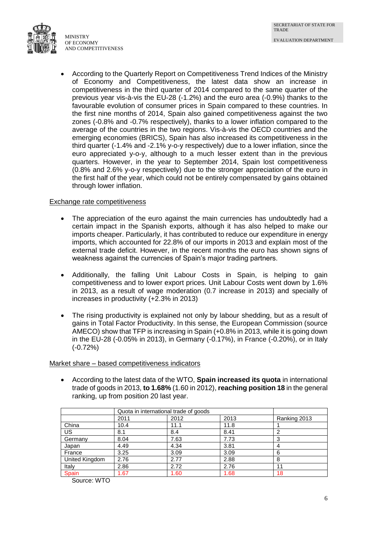

 According to the Quarterly Report on Competitiveness Trend Indices of the Ministry of Economy and Competitiveness, the latest data show an increase in competitiveness in the third quarter of 2014 compared to the same quarter of the previous year vis-à-vis the EU-28 (-1.2%) and the euro area (-0.9%) thanks to the favourable evolution of consumer prices in Spain compared to these countries. In the first nine months of 2014, Spain also gained competitiveness against the two zones (-0.8% and -0.7% respectively), thanks to a lower inflation compared to the average of the countries in the two regions. Vis-à-vis the OECD countries and the emerging economies (BRICS), Spain has also increased its competitiveness in the third quarter (-1.4% and -2.1% y-o-y respectively) due to a lower inflation, since the euro appreciated y-o-y, although to a much lesser extent than in the previous quarters. However, in the year to September 2014, Spain lost competitiveness (0.8% and 2.6% y-o-y respectively) due to the stronger appreciation of the euro in the first half of the year, which could not be entirely compensated by gains obtained through lower inflation.

#### Exchange rate competitiveness

- The appreciation of the euro against the main currencies has undoubtedly had a certain impact in the Spanish exports, although it has also helped to make our imports cheaper. Particularly, it has contributed to reduce our expenditure in energy imports, which accounted for 22.8% of our imports in 2013 and explain most of the external trade deficit. However, in the recent months the euro has shown signs of weakness against the currencies of Spain's major trading partners.
- Additionally, the falling Unit Labour Costs in Spain, is helping to gain competitiveness and to lower export prices. Unit Labour Costs went down by 1.6% in 2013, as a result of wage moderation (0.7 increase in 2013) and specially of increases in productivity (+2.3% in 2013)
- The rising productivity is explained not only by labour shedding, but as a result of gains in Total Factor Productivity. In this sense, the European Commission (source AMECO) show that TFP is increasing in Spain (+0.8% in 2013, while it is going down in the EU-28 (-0.05% in 2013), in Germany (-0.17%), in France (-0.20%), or in Italy (-0.72%)

## Market share – based competitiveness indicators

 According to the latest data of the WTO, **Spain increased its quota** in international trade of goods in 2013, **to 1.68%** (1.60 in 2012), **reaching position 18** in the general ranking, up from position 20 last year.

|                | Quota in international trade of goods |      |      |              |
|----------------|---------------------------------------|------|------|--------------|
|                | 2011                                  | 2012 | 2013 | Ranking 2013 |
| China          | 10.4                                  | 11.1 | 11.8 |              |
| US             | 8.1                                   | 8.4  | 8.41 |              |
| Germany        | 8.04                                  | 7.63 | 7.73 |              |
| Japan          | 4.49                                  | 4.34 | 3.81 | 4            |
| France         | 3.25                                  | 3.09 | 3.09 | 6            |
| United Kingdom | 2.76                                  | 2.77 | 2.88 | 8            |
| Italy          | 2.86                                  | 2.72 | 2.76 | 11           |
| Spain          | 1.67                                  | 1.60 | 1.68 | 18           |

Source: WTO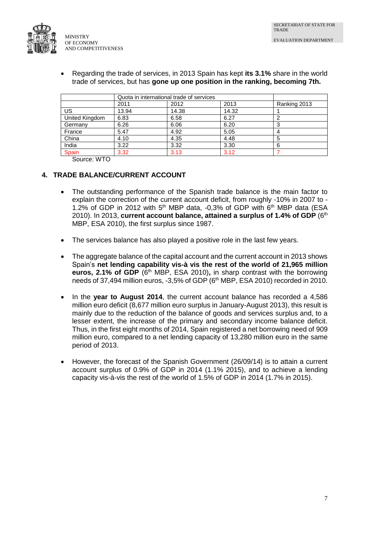

 Regarding the trade of services, in 2013 Spain has kept **its 3.1%** share in the world trade of services, but has **gone up one position in the ranking, becoming 7th.**

|                | Quota in international trade of services |       |       |              |  |
|----------------|------------------------------------------|-------|-------|--------------|--|
|                | 2011                                     | 2012  | 2013  | Ranking 2013 |  |
| US             | 13.94                                    | 14.38 | 14.32 |              |  |
| United Kingdom | 6.83                                     | 6.58  | 6.27  |              |  |
| Germany        | 6.26                                     | 6.06  | 6.20  |              |  |
| France         | 5.47                                     | 4.92  | 5.05  |              |  |
| China          | 4.10                                     | 4.35  | 4.48  |              |  |
| India          | 3.22                                     | 3.32  | 3.30  |              |  |
| Spain          | 3.32                                     | 3.13  | 3.12  |              |  |

Source: WTO

# **4. TRADE BALANCE/CURRENT ACCOUNT**

- The outstanding performance of the Spanish trade balance is the main factor to explain the correction of the current account deficit, from roughly -10% in 2007 to - 1.2% of GDP in 2012 with  $5<sup>th</sup>$  MBP data, -0,3% of GDP with  $6<sup>th</sup>$  MBP data (ESA 2010). In 2013, current account balance, attained a surplus of 1.4% of GDP (6<sup>th</sup> MBP, ESA 2010), the first surplus since 1987.
- The services balance has also played a positive role in the last few years.
- The aggregate balance of the capital account and the current account in 2013 shows Spain's **net lending capability vis-à vis the rest of the world of 21,965 million euros, 2.1% of GDP** (6<sup>th</sup> MBP, ESA 2010), in sharp contrast with the borrowing needs of 37,494 million euros, -3,5% of GDP (6<sup>th</sup> MBP, ESA 2010) recorded in 2010.
- In the **year to August 2014**, the current account balance has recorded a 4,586 million euro deficit (8,677 million euro surplus in January-August 2013), this result is mainly due to the reduction of the balance of goods and services surplus and, to a lesser extent, the increase of the primary and secondary income balance deficit. Thus, in the first eight months of 2014, Spain registered a net borrowing need of 909 million euro, compared to a net lending capacity of 13,280 million euro in the same period of 2013.
- However, the forecast of the Spanish Government (26/09/14) is to attain a current account surplus of 0.9% of GDP in 2014 (1.1% 2015), and to achieve a lending capacity vis-à-vis the rest of the world of 1.5% of GDP in 2014 (1.7% in 2015).